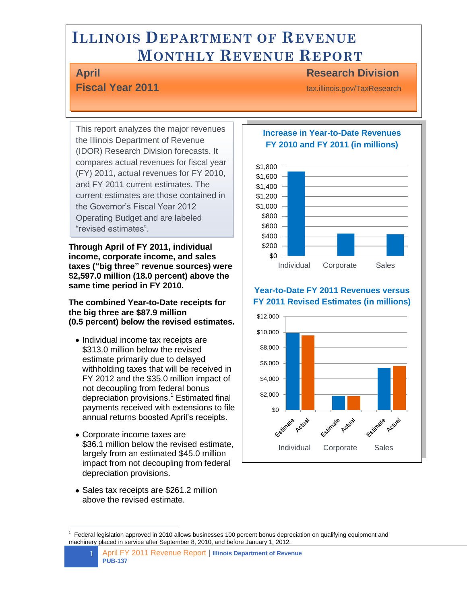## **ILLINOIS DEPARTMENT OF REVENUE MONTHLY REVENUE REPORT**

#### **Fiscal Year 2011** tax.illinois.gov/TaxResearch

#### **April Research Division**

This report analyzes the major revenues the Illinois Department of Revenue (IDOR) Research Division forecasts. It compares actual revenues for fiscal year (FY) 2011, actual revenues for FY 2010, and FY 2011 current estimates. The current estimates are those contained in the Governor's Fiscal Year 2012 Operating Budget and are labeled "revised estimates".

**Through April of FY 2011, individual income, corporate income, and sales taxes ("big three" revenue sources) were \$2,597.0 million (18.0 percent) above the same time period in FY 2010.** 

**The combined Year-to-Date receipts for the big three are \$87.9 million (0.5 percent) below the revised estimates.**

- Individual income tax receipts are \$313.0 million below the revised estimate primarily due to delayed withholding taxes that will be received in FY 2012 and the \$35.0 million impact of not decoupling from federal bonus depreciation provisions. <sup>1</sup> Estimated final payments received with extensions to file annual returns boosted April's receipts.
- Corporate income taxes are \$36.1 million below the revised estimate, largely from an estimated \$45.0 million impact from not decoupling from federal depreciation provisions.
- Sales tax receipts are \$261.2 million above the revised estimate.

#### **Increase in Year-to-Date Revenues FY 2010 and FY 2011 (in millions)**



#### **Year-to-Date FY 2011 Revenues versus FY 2011 Revised Estimates (in millions)**



 $\overline{a}$ 1 Federal legislation approved in 2010 allows businesses 100 percent bonus depreciation on qualifying equipment and machinery placed in service after September 8, 2010, and before January 1, 2012.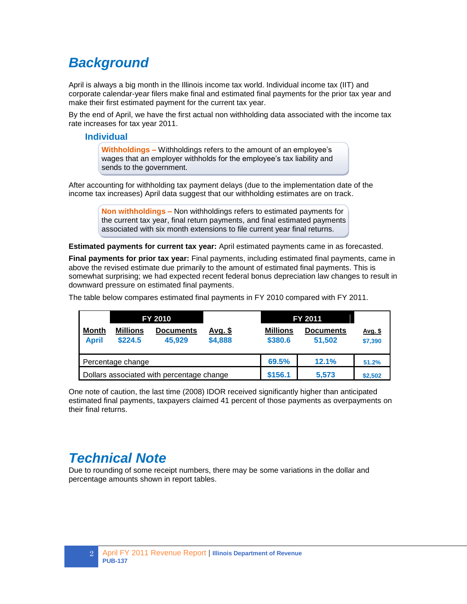## *Background*

April is always a big month in the Illinois income tax world. Individual income tax (IIT) and corporate calendar-year filers make final and estimated final payments for the prior tax year and make their first estimated payment for the current tax year.

By the end of April, we have the first actual non withholding data associated with the income tax rate increases for tax year 2011.

#### **Individual**

**Withholdings –** Withholdings refers to the amount of an employee's wages that an employer withholds for the employee's tax liability and sends to the government.

After accounting for withholding tax payment delays (due to the implementation date of the income tax increases) April data suggest that our withholding estimates are on track.

> **Non withholdings –** Non withholdings refers to estimated payments for the current tax year, final return payments, and final estimated payments associated with six month extensions to file current year final returns.

**Estimated payments for current tax year:** April estimated payments came in as forecasted.

**Final payments for prior tax year:** Final payments, including estimated final payments, came in above the revised estimate due primarily to the amount of estimated final payments. This is somewhat surprising; we had expected recent federal bonus depreciation law changes to result in downward pressure on estimated final payments.

The table below compares estimated final payments in FY 2010 compared with FY 2011.

|                                           | FY 2010                    |                            | FY 2011                   |                            |                            |                    |
|-------------------------------------------|----------------------------|----------------------------|---------------------------|----------------------------|----------------------------|--------------------|
| Month<br><b>April</b>                     | <b>Millions</b><br>\$224.5 | <b>Documents</b><br>45,929 | <u>Avg. \$</u><br>\$4,888 | <b>Millions</b><br>\$380.6 | <b>Documents</b><br>51.502 | Avg. \$<br>\$7,390 |
| Percentage change                         |                            |                            | 69.5%                     | 12.1%                      | 51.2%                      |                    |
| Dollars associated with percentage change |                            |                            | \$156.1                   | 5,573                      | \$2,502                    |                    |

One note of caution, the last time (2008) IDOR received significantly higher than anticipated estimated final payments, taxpayers claimed 41 percent of those payments as overpayments on their final returns.

## *Technical Note*

Due to rounding of some receipt numbers, there may be some variations in the dollar and percentage amounts shown in report tables.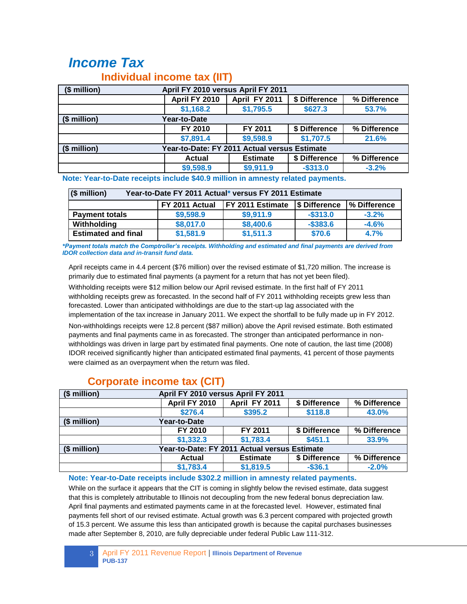## *Income Tax*

### **Individual income tax (IIT)**

| $($$ million $)$ | April FY 2010 versus April FY 2011           |                 |               |              |  |
|------------------|----------------------------------------------|-----------------|---------------|--------------|--|
|                  | April FY 2010                                | April FY 2011   | \$ Difference | % Difference |  |
|                  | \$1,168.2                                    | \$1,795.5       | \$627.3       | 53.7%        |  |
| (\$ million)     | Year-to-Date                                 |                 |               |              |  |
|                  | FY 2010                                      | FY 2011         | \$ Difference | % Difference |  |
|                  | \$7,891.4                                    | \$9,598.9       | \$1,707.5     | 21.6%        |  |
| (\$ million)     | Year-to-Date: FY 2011 Actual versus Estimate |                 |               |              |  |
|                  | <b>Actual</b>                                | <b>Estimate</b> | \$ Difference | % Difference |  |
|                  | \$9,598.9                                    | \$9,911.9       | $-$ \$313.0   | $-3.2%$      |  |

**Note: Year-to-Date receipts include \$40.9 million in amnesty related payments.**

| (\$ million)<br>Year-to-Date FY 2011 Actual* versus FY 2011 Estimate             |           |           |             |         |  |  |
|----------------------------------------------------------------------------------|-----------|-----------|-------------|---------|--|--|
| <b>S</b> Difference<br>FY 2011 Actual<br><b>FY 2011 Estimate</b><br>% Difference |           |           |             |         |  |  |
| <b>Payment totals</b>                                                            | \$9,598.9 | \$9,911.9 | $-$ \$313.0 | $-3.2%$ |  |  |
| Withholding                                                                      | \$8,017.0 | \$8,400.6 | $-$ \$383.6 | $-4.6%$ |  |  |
| <b>Estimated and final</b>                                                       | \$1,581.9 | \$1,511.3 | \$70.6      | 4.7%    |  |  |

*\*Payment totals match the Comptroller's receipts. Withholding and estimated and final payments are derived from IDOR collection data and in-transit fund data.*

April receipts came in 4.4 percent (\$76 million) over the revised estimate of \$1,720 million. The increase is primarily due to estimated final payments (a payment for a return that has not yet been filed).

Withholding receipts were \$12 million below our April revised estimate. In the first half of FY 2011 withholding receipts grew as forecasted. In the second half of FY 2011 withholding receipts grew less than forecasted. Lower than anticipated withholdings are due to the start-up lag associated with the implementation of the tax increase in January 2011. We expect the shortfall to be fully made up in FY 2012.

Non-withholdings receipts were 12.8 percent (\$87 million) above the April revised estimate. Both estimated payments and final payments came in as forecasted. The stronger than anticipated performance in nonwithholdings was driven in large part by estimated final payments. One note of caution, the last time (2008) IDOR received significantly higher than anticipated estimated final payments, 41 percent of those payments were claimed as an overpayment when the return was filed.

| (\$ million) |               | April FY 2010 versus April FY 2011           |               |              |  |  |
|--------------|---------------|----------------------------------------------|---------------|--------------|--|--|
|              | April FY 2010 | April FY 2011                                | \$ Difference | % Difference |  |  |
|              | \$276.4       | \$395.2                                      | \$118.8       | 43.0%        |  |  |
| (\$ million) | Year-to-Date  |                                              |               |              |  |  |
|              | FY 2010       | FY 2011                                      | \$ Difference | % Difference |  |  |
|              | \$1,332.3     | \$1,783.4                                    | \$451.1       | 33.9%        |  |  |
| (\$ million) |               | Year-to-Date: FY 2011 Actual versus Estimate |               |              |  |  |
|              | <b>Actual</b> | <b>Estimate</b>                              | \$ Difference | % Difference |  |  |
|              | \$1,783.4     | \$1,819.5                                    | $-$ \$36.1    | $-2.0%$      |  |  |

### **Corporate income tax (CIT)**

#### **Note: Year-to-Date receipts include \$302.2 million in amnesty related payments.**

While on the surface it appears that the CIT is coming in slightly below the revised estimate, data suggest that this is completely attributable to Illinois not decoupling from the new federal bonus depreciation law. April final payments and estimated payments came in at the forecasted level. However, estimated final payments fell short of our revised estimate. Actual growth was 6.3 percent compared with projected growth of 15.3 percent. We assume this less than anticipated growth is because the capital purchases businesses made after September 8, 2010, are fully depreciable under federal Public Law 111-312.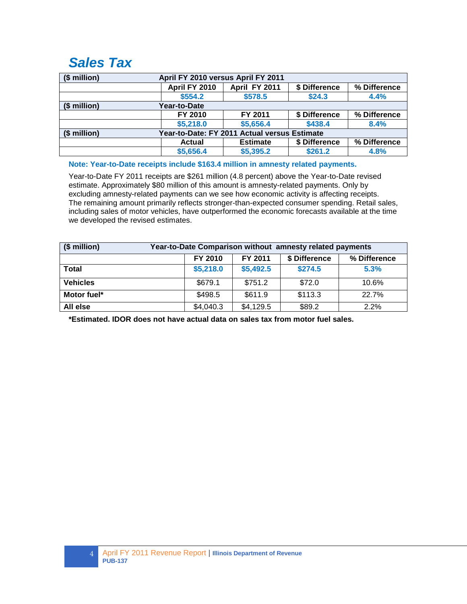## *Sales Tax*

| (\$ million) | April FY 2010 versus April FY 2011 |                                              |               |              |  |  |
|--------------|------------------------------------|----------------------------------------------|---------------|--------------|--|--|
|              | April FY 2010                      | April FY 2011                                | \$ Difference | % Difference |  |  |
|              | \$554.2                            | \$578.5                                      | \$24.3        | 4.4%         |  |  |
| $$$ million) | Year-to-Date                       |                                              |               |              |  |  |
|              | FY 2010                            | FY 2011                                      | \$ Difference | % Difference |  |  |
|              | \$5,218.0                          | \$5,656.4                                    | \$438.4       | 8.4%         |  |  |
| (\$ million) |                                    | Year-to-Date: FY 2011 Actual versus Estimate |               |              |  |  |
|              | <b>Actual</b>                      | <b>Estimate</b>                              | \$ Difference | % Difference |  |  |
|              | \$5,656.4                          | \$5,395.2                                    | \$261.2       | 4.8%         |  |  |

#### **Note: Year-to-Date receipts include \$163.4 million in amnesty related payments.**

Year-to-Date FY 2011 receipts are \$261 million (4.8 percent) above the Year-to-Date revised estimate. Approximately \$80 million of this amount is amnesty-related payments. Only by excluding amnesty-related payments can we see how economic activity is affecting receipts. The remaining amount primarily reflects stronger-than-expected consumer spending. Retail sales, including sales of motor vehicles, have outperformed the economic forecasts available at the time we developed the revised estimates.

| $$$ million)    | Year-to-Date Comparison without amnesty related payments |           |               |              |  |  |
|-----------------|----------------------------------------------------------|-----------|---------------|--------------|--|--|
|                 | FY 2010                                                  | FY 2011   | \$ Difference | % Difference |  |  |
| <b>Total</b>    | \$5,218.0                                                | \$5,492.5 | \$274.5       | 5.3%         |  |  |
| <b>Vehicles</b> | \$679.1                                                  | \$751.2   | \$72.0        | 10.6%        |  |  |
| Motor fuel*     | \$498.5                                                  | \$611.9   | \$113.3       | 22.7%        |  |  |
| All else        | \$4,040.3                                                | \$4,129.5 | \$89.2        | 2.2%         |  |  |

**\*Estimated. IDOR does not have actual data on sales tax from motor fuel sales.**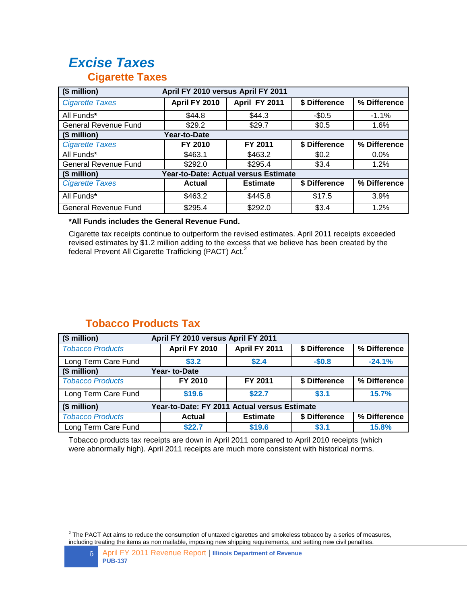# *Excise Taxes*

### **Cigarette Taxes**

| April FY 2010 versus April FY 2011<br>(\$ million) |               |                                      |               |              |  |  |
|----------------------------------------------------|---------------|--------------------------------------|---------------|--------------|--|--|
| <b>Cigarette Taxes</b>                             | April FY 2010 | April FY 2011                        | \$ Difference | % Difference |  |  |
| All Funds*                                         | \$44.8        | \$44.3                               | $-$0.5$       | $-1.1%$      |  |  |
| <b>General Revenue Fund</b>                        | \$29.2        | \$29.7                               | \$0.5         | 1.6%         |  |  |
| (\$ million)                                       | Year-to-Date  |                                      |               |              |  |  |
| <b>Cigarette Taxes</b>                             | FY 2010       | FY 2011                              | \$ Difference | % Difference |  |  |
| All Funds*                                         | \$463.1       | \$463.2                              | \$0.2         | $0.0\%$      |  |  |
| <b>General Revenue Fund</b>                        | \$292.0       | \$295.4                              | \$3.4         | 1.2%         |  |  |
| $$$ million)                                       |               | Year-to-Date: Actual versus Estimate |               |              |  |  |
| <b>Cigarette Taxes</b>                             | Actual        | <b>Estimate</b>                      | \$ Difference | % Difference |  |  |
| All Funds*                                         | \$463.2       | \$445.8                              | \$17.5        | 3.9%         |  |  |
| <b>General Revenue Fund</b>                        | \$295.4       | \$292.0                              | \$3.4         | 1.2%         |  |  |

#### **\*All Funds includes the General Revenue Fund.**

Cigarette tax receipts continue to outperform the revised estimates. April 2011 receipts exceeded revised estimates by \$1.2 million adding to the excess that we believe has been created by the federal Prevent All Cigarette Trafficking (PACT) Act.<sup>2</sup>

### **Tobacco Products Tax**

| (\$ million)                                                 | April FY 2010 versus April FY 2011 |                 |               |              |  |
|--------------------------------------------------------------|------------------------------------|-----------------|---------------|--------------|--|
| <b>Tobacco Products</b>                                      | April FY 2010                      | April FY 2011   | \$ Difference | % Difference |  |
| Long Term Care Fund                                          | \$3.2\$                            | \$2.4           | $-$0.8$       | $-24.1%$     |  |
| $($$ million $)$<br>Year-to-Date                             |                                    |                 |               |              |  |
| <b>Tobacco Products</b>                                      | FY 2010                            | FY 2011         | \$ Difference | % Difference |  |
| Long Term Care Fund                                          | \$19.6                             | \$22.7          | \$3.1         | 15.7%        |  |
| (\$ million)<br>Year-to-Date: FY 2011 Actual versus Estimate |                                    |                 |               |              |  |
| <b>Tobacco Products</b>                                      | Actual                             | <b>Estimate</b> | \$ Difference | % Difference |  |
| Long Term Care Fund                                          | \$22.7                             | \$19.6          | \$3.1         | 15.8%        |  |

Tobacco products tax receipts are down in April 2011 compared to April 2010 receipts (which were abnormally high). April 2011 receipts are much more consistent with historical norms.

 2 The PACT Act aims to reduce the consumption of untaxed cigarettes and smokeless tobacco by a series of measures, including treating the items as non mailable, imposing new shipping requirements, and setting new civil penalties.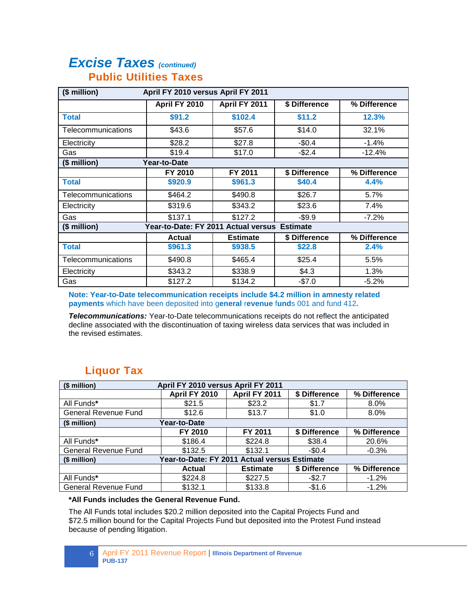## *Excise Taxes (continued)*  **Public Utilities Taxes**

| $($$ million $)$   | April FY 2010 versus April FY 2011           |                 |               |              |  |  |
|--------------------|----------------------------------------------|-----------------|---------------|--------------|--|--|
|                    | April FY 2010                                | April FY 2011   | \$ Difference | % Difference |  |  |
| <b>Total</b>       | \$91.2                                       | \$102.4         | \$11.2        | 12.3%        |  |  |
| Telecommunications | \$43.6                                       | \$57.6          | \$14.0        | 32.1%        |  |  |
| Electricity        | \$28.2                                       | \$27.8          | $-$0.4$       | $-1.4%$      |  |  |
| Gas                | \$19.4                                       | \$17.0          | $-$2.4$       | $-12.4%$     |  |  |
| $($$ million $)$   | Year-to-Date                                 |                 |               |              |  |  |
|                    | FY 2010                                      | FY 2011         | \$ Difference | % Difference |  |  |
| <b>Total</b>       | \$920.9                                      | \$961.3         | \$40.4        | 4.4%         |  |  |
| Telecommunications | \$464.2                                      | \$490.8         | \$26.7        | 5.7%         |  |  |
| Electricity        | \$319.6                                      | \$343.2         | \$23.6        | 7.4%         |  |  |
| Gas                | \$137.1                                      | \$127.2         | $-$9.9$       | $-7.2%$      |  |  |
| $($$ million $)$   | Year-to-Date: FY 2011 Actual versus Estimate |                 |               |              |  |  |
|                    | <b>Actual</b>                                | <b>Estimate</b> | \$ Difference | % Difference |  |  |
| <b>Total</b>       | \$961.3                                      | \$938.5         | \$22.8        | 2.4%         |  |  |
| Telecommunications | \$490.8                                      | \$465.4         | \$25.4        | 5.5%         |  |  |
| Electricity        | \$343.2                                      | \$338.9         | \$4.3         | 1.3%         |  |  |
| Gas                | \$127.2                                      | \$134.2         | $-$7.0$       | $-5.2%$      |  |  |

**Note: Year-to-Date telecommunication receipts include \$4.2 million in amnesty related payments** which have been deposited into g**eneral** r**evenue** f**und**s 001 and fund 412**.**

*Telecommunications:* Year-to-Date telecommunications receipts do not reflect the anticipated decline associated with the discontinuation of taxing wireless data services that was included in the revised estimates.

| (\$ million)         | April FY 2010 versus April FY 2011           |                 |               |              |
|----------------------|----------------------------------------------|-----------------|---------------|--------------|
|                      | April FY 2010                                | April FY 2011   | \$ Difference | % Difference |
| All Funds*           | \$21.5                                       | \$23.2          | \$1.7         | 8.0%         |
| General Revenue Fund | \$12.6                                       | \$13.7          | \$1.0         | $8.0\%$      |
| $$$ million)         | Year-to-Date                                 |                 |               |              |
|                      | FY 2010                                      | FY 2011         | \$ Difference | % Difference |
| All Funds*           | \$186.4                                      | \$224.8         | \$38.4        | 20.6%        |
| General Revenue Fund | \$132.5                                      | \$132.1         | $-$0.4$       | $-0.3%$      |
| (\$ million)         | Year-to-Date: FY 2011 Actual versus Estimate |                 |               |              |
|                      | <b>Actual</b>                                | <b>Estimate</b> | \$ Difference | % Difference |
| All Funds*           | \$224.8                                      | \$227.5         | $-$2.7$       | $-1.2\%$     |
| General Revenue Fund | \$132.1                                      | \$133.8         | $-$1.6$       | $-1.2%$      |

## **Liquor Tax**

#### **\*All Funds includes the General Revenue Fund.**

The All Funds total includes \$20.2 million deposited into the Capital Projects Fund and \$72.5 million bound for the Capital Projects Fund but deposited into the Protest Fund instead because of pending litigation.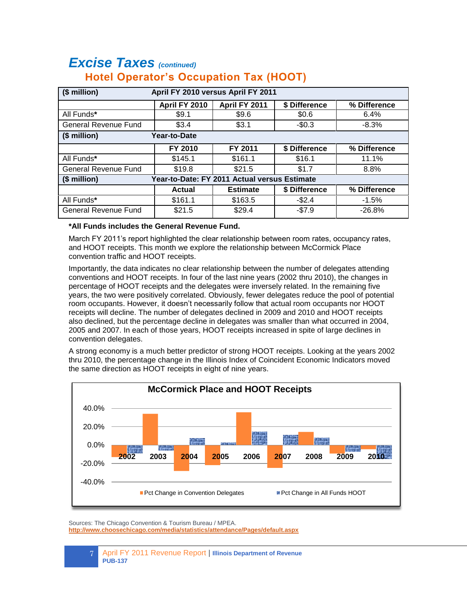### *Excise Taxes (continued)* **Hotel Operator's Occupation Tax (HOOT)**

| $($$ million $)$            | April FY 2010 versus April FY 2011 |                                              |               |              |  |  |
|-----------------------------|------------------------------------|----------------------------------------------|---------------|--------------|--|--|
|                             | April FY 2010                      | April FY 2011                                | \$ Difference | % Difference |  |  |
| All Funds*                  | \$9.1                              | \$9.6                                        | \$0.6         | 6.4%         |  |  |
| <b>General Revenue Fund</b> | \$3.4                              | \$3.1                                        | $-$0.3$       | $-8.3%$      |  |  |
| $($$ million $)$            | Year-to-Date                       |                                              |               |              |  |  |
|                             | FY 2010                            | FY 2011                                      | \$ Difference | % Difference |  |  |
| All Funds*                  | \$145.1                            | \$161.1                                      | \$16.1        | 11.1%        |  |  |
| <b>General Revenue Fund</b> | \$19.8                             | \$21.5                                       | \$1.7         | 8.8%         |  |  |
| $($$ million $)$            |                                    | Year-to-Date: FY 2011 Actual versus Estimate |               |              |  |  |
|                             | <b>Actual</b>                      | <b>Estimate</b>                              | \$ Difference | % Difference |  |  |
| All Funds*                  | \$161.1                            | \$163.5                                      | $-$2.4$       | $-1.5%$      |  |  |
| <b>General Revenue Fund</b> | \$21.5                             | \$29.4                                       | $-$7.9$       | $-26.8%$     |  |  |

#### **\*All Funds includes the General Revenue Fund.**

March FY 2011's report highlighted the clear relationship between room rates, occupancy rates, and HOOT receipts. This month we explore the relationship between McCormick Place convention traffic and HOOT receipts.

Importantly, the data indicates no clear relationship between the number of delegates attending conventions and HOOT receipts. In four of the last nine years (2002 thru 2010), the changes in percentage of HOOT receipts and the delegates were inversely related. In the remaining five years, the two were positively correlated. Obviously, fewer delegates reduce the pool of potential room occupants. However, it doesn't necessarily follow that actual room occupants nor HOOT receipts will decline. The number of delegates declined in 2009 and 2010 and HOOT receipts also declined, but the percentage decline in delegates was smaller than what occurred in 2004, 2005 and 2007. In each of those years, HOOT receipts increased in spite of large declines in convention delegates.

A strong economy is a much better predictor of strong HOOT receipts. Looking at the years 2002 thru 2010, the percentage change in the Illinois Index of Coincident Economic Indicators moved the same direction as HOOT receipts in eight of nine years.



Sources: The Chicago Convention & Tourism Bureau / MPEA. **<http://www.choosechicago.com/media/statistics/attendance/Pages/default.aspx>**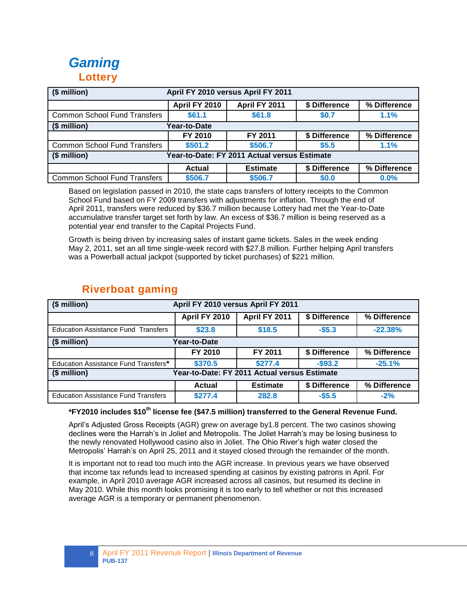## *Gaming*  **Lottery**

| (\$ million)<br>April FY 2010 versus April FY 2011           |               |                 |               |              |  |
|--------------------------------------------------------------|---------------|-----------------|---------------|--------------|--|
|                                                              | April FY 2010 | April FY 2011   | \$ Difference | % Difference |  |
| <b>Common School Fund Transfers</b>                          | \$61.1        | \$61.8          | \$0.7         | 1.1%         |  |
| (\$ million)<br>Year-to-Date                                 |               |                 |               |              |  |
|                                                              | FY 2010       | FY 2011         | \$ Difference | % Difference |  |
| <b>Common School Fund Transfers</b>                          | \$501.2       | \$506.7         | \$5.5         | 1.1%         |  |
| (\$ million)<br>Year-to-Date: FY 2011 Actual versus Estimate |               |                 |               |              |  |
|                                                              | Actual        | <b>Estimate</b> | \$ Difference | % Difference |  |
| <b>Common School Fund Transfers</b>                          | \$506.7       | \$506.7         | \$0.0         | 0.0%         |  |

Based on legislation passed in 2010, the state caps transfers of lottery receipts to the Common School Fund based on FY 2009 transfers with adjustments for inflation. Through the end of April 2011, transfers were reduced by \$36.7 million because Lottery had met the Year-to-Date accumulative transfer target set forth by law. An excess of \$36.7 million is being reserved as a potential year end transfer to the Capital Projects Fund.

Growth is being driven by increasing sales of instant game tickets. Sales in the week ending May 2, 2011, set an all time single-week record with \$27.8 million. Further helping April transfers was a Powerball actual jackpot (supported by ticket purchases) of \$221 million.

| (\$ million)<br>April FY 2010 versus April FY 2011               |               |                 |               |              |  |  |  |  |  |
|------------------------------------------------------------------|---------------|-----------------|---------------|--------------|--|--|--|--|--|
|                                                                  | April FY 2010 | April FY 2011   | \$ Difference | % Difference |  |  |  |  |  |
| <b>Education Assistance Fund Transfers</b>                       | \$23.8        | \$18.5          | $-$5.3$       | $-22.38%$    |  |  |  |  |  |
| (\$ million)<br>Year-to-Date                                     |               |                 |               |              |  |  |  |  |  |
|                                                                  | FY 2010       | FY 2011         | \$ Difference | % Difference |  |  |  |  |  |
| Education Assistance Fund Transfers*                             | \$370.5       | \$277.4         | $-$93.2$      | $-25.1%$     |  |  |  |  |  |
| Year-to-Date: FY 2011 Actual versus Estimate<br>$($$ million $)$ |               |                 |               |              |  |  |  |  |  |
|                                                                  | <b>Actual</b> | <b>Estimate</b> | \$ Difference | % Difference |  |  |  |  |  |
| <b>Education Assistance Fund Transfers</b>                       | \$277.4       | 282.8           | $-$5.5$       | $-2%$        |  |  |  |  |  |

### **Riverboat gaming**

#### **\*FY2010 includes \$10th license fee (\$47.5 million) transferred to the General Revenue Fund.**

April's Adjusted Gross Receipts (AGR) grew on average by1.8 percent. The two casinos showing declines were the Harrah's in Joliet and Metropolis. The Joliet Harrah's may be losing business to the newly renovated Hollywood casino also in Joliet. The Ohio River's high water closed the Metropolis' Harrah's on April 25, 2011 and it stayed closed through the remainder of the month.

It is important not to read too much into the AGR increase. In previous years we have observed that income tax refunds lead to increased spending at casinos by existing patrons in April. For example, in April 2010 average AGR increased across all casinos, but resumed its decline in May 2010. While this month looks promising it is too early to tell whether or not this increased average AGR is a temporary or permanent phenomenon.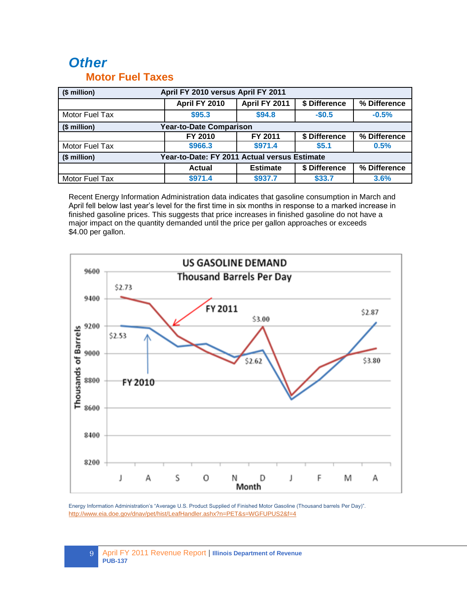## *Other* **Motor Fuel Taxes**

| April FY 2010 versus April FY 2011<br>(\$ million)           |                                |                                |               |              |  |  |  |  |  |
|--------------------------------------------------------------|--------------------------------|--------------------------------|---------------|--------------|--|--|--|--|--|
|                                                              | April FY 2010                  | April FY 2011<br>\$ Difference |               |              |  |  |  |  |  |
| Motor Fuel Tax                                               | \$95.3                         | \$94.8                         | $-$0.5$       | $-0.5%$      |  |  |  |  |  |
| (\$ million)                                                 | <b>Year-to-Date Comparison</b> |                                |               |              |  |  |  |  |  |
|                                                              | FY 2010                        | FY 2011                        |               | % Difference |  |  |  |  |  |
| Motor Fuel Tax                                               | \$966.3                        | \$971.4                        | \$5.1         | 0.5%         |  |  |  |  |  |
| Year-to-Date: FY 2011 Actual versus Estimate<br>(\$ million) |                                |                                |               |              |  |  |  |  |  |
|                                                              | <b>Actual</b>                  | <b>Estimate</b>                | \$ Difference | % Difference |  |  |  |  |  |
| Motor Fuel Tax                                               | \$971.4                        | \$937.7                        | \$33.7        | 3.6%         |  |  |  |  |  |

Recent Energy Information Administration data indicates that gasoline consumption in March and April fell below last year's level for the first time in six months in response to a marked increase in finished gasoline prices. This suggests that price increases in finished gasoline do not have a major impact on the quantity demanded until the price per gallon approaches or exceeds \$4.00 per gallon.



Energy Information Administration's "Average U.S. Product Supplied of Finished Motor Gasoline (Thousand barrels Per Day)". <http://www.eia.doe.gov/dnav/pet/hist/LeafHandler.ashx?n=PET&s=WGFUPUS2&f=4>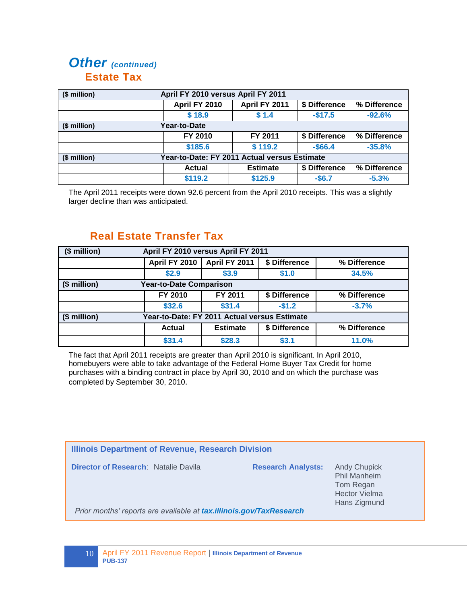### *Other (continued)*  **Estate Tax**

| (\$ million)                                                 | April FY 2010 versus April FY 2011 |                 |               |              |  |  |  |  |  |
|--------------------------------------------------------------|------------------------------------|-----------------|---------------|--------------|--|--|--|--|--|
|                                                              | April FY 2010                      | April FY 2011   | \$ Difference | % Difference |  |  |  |  |  |
|                                                              | \$18.9                             | \$1.4           | $-$17.5$      | $-92.6%$     |  |  |  |  |  |
| (\$ million)                                                 | Year-to-Date                       |                 |               |              |  |  |  |  |  |
|                                                              | FY 2010                            | FY 2011         | \$ Difference | % Difference |  |  |  |  |  |
|                                                              | \$185.6                            | \$119.2         | $-$66.4$      | $-35.8%$     |  |  |  |  |  |
| Year-to-Date: FY 2011 Actual versus Estimate<br>(\$ million) |                                    |                 |               |              |  |  |  |  |  |
|                                                              | <b>Actual</b>                      | <b>Estimate</b> | \$ Difference | % Difference |  |  |  |  |  |
|                                                              | \$119.2                            | \$125.9         | $-$6.7$       | $-5.3%$      |  |  |  |  |  |

The April 2011 receipts were down 92.6 percent from the April 2010 receipts. This was a slightly larger decline than was anticipated.

### **Real Estate Transfer Tax**

| $$$ million)                                                 | April FY 2010 versus April FY 2011 |                 |                               |         |  |  |  |  |  |
|--------------------------------------------------------------|------------------------------------|-----------------|-------------------------------|---------|--|--|--|--|--|
|                                                              | April FY 2010                      | % Difference    |                               |         |  |  |  |  |  |
|                                                              | \$2.9                              | \$3.9           | \$1.0                         | 34.5%   |  |  |  |  |  |
| (\$ million)                                                 | Year-to-Date Comparison            |                 |                               |         |  |  |  |  |  |
|                                                              | FY 2010                            | % Difference    |                               |         |  |  |  |  |  |
|                                                              | \$32.6                             | \$31.4          | $-$1.2$                       | $-3.7%$ |  |  |  |  |  |
| Year-to-Date: FY 2011 Actual versus Estimate<br>(\$ million) |                                    |                 |                               |         |  |  |  |  |  |
|                                                              | <b>Actual</b>                      | <b>Estimate</b> | \$ Difference<br>% Difference |         |  |  |  |  |  |
|                                                              | \$31.4                             | \$28.3          | \$3.1                         | 11.0%   |  |  |  |  |  |

The fact that April 2011 receipts are greater than April 2010 is significant. In April 2010, homebuyers were able to take advantage of the Federal Home Buyer Tax Credit for home purchases with a binding contract in place by April 30, 2010 and on which the purchase was completed by September 30, 2010.

| Illinois Department of Revenue, Research Division                   |                           |                                                                                                 |  |  |  |  |  |  |  |
|---------------------------------------------------------------------|---------------------------|-------------------------------------------------------------------------------------------------|--|--|--|--|--|--|--|
| <b>Director of Research: Natalie Davila</b>                         | <b>Research Analysts:</b> | <b>Andy Chupick</b><br><b>Phil Manheim</b><br>Tom Regan<br><b>Hector Vielma</b><br>Hans Zigmund |  |  |  |  |  |  |  |
| Prior months' reports are available at tax.illinois.gov/TaxResearch |                           |                                                                                                 |  |  |  |  |  |  |  |